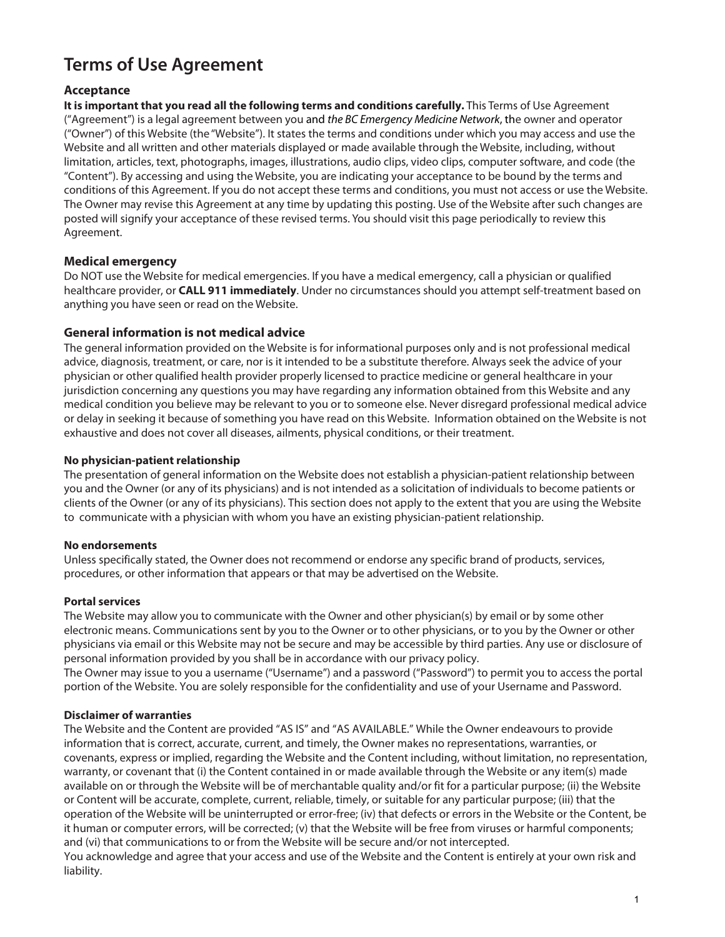# **Terms of Use Agreement**

# **Acceptance**

**It is important that you read all the following terms and conditions carefully.** This Terms of Use Agreement ("Agreement") is a legal agreement between you and the BC Emergency Medicine Network, the owner and operator ("Owner") of this Website (the "Website"). It states the terms and conditions under which you may access and use the Website and all written and other materials displayed or made available through the Website, including, without limitation, articles, text, photographs, images, illustrations, audio clips, video clips, computer software, and code (the "Content"). By accessing and using the Website, you are indicating your acceptance to be bound by the terms and conditions of this Agreement. If you do not accept these terms and conditions, you must not access or use the Website. The Owner may revise this Agreement at any time by updating this posting. Use of the Website after such changes are posted will signify your acceptance of these revised terms. You should visit this page periodically to review this Agreement.

# **Medical emergency**

Do NOT use the Website for medical emergencies. If you have a medical emergency, call a physician or qualified healthcare provider, or **CALL 911 immediately**. Under no circumstances should you attempt self-treatment based on anything you have seen or read on the Website.

## **General information is not medical advice**

The general information provided on the Website is for informational purposes only and is not professional medical advice, diagnosis, treatment, or care, nor is it intended to be a substitute therefore. Always seek the advice of your physician or other qualified health provider properly licensed to practice medicine or general healthcare in your jurisdiction concerning any questions you may have regarding any information obtained from this Website and any medical condition you believe may be relevant to you or to someone else. Never disregard professional medical advice or delay in seeking it because of something you have read on this Website. Information obtained on the Website is not exhaustive and does not cover all diseases, ailments, physical conditions, or their treatment.

### **No physician-patient relationship**

The presentation of general information on the Website does not establish a physician-patient relationship between you and the Owner (or any of its physicians) and is not intended as a solicitation of individuals to become patients or clients of the Owner (or any of its physicians). This section does not apply to the extent that you are using the Website to communicate with a physician with whom you have an existing physician-patient relationship.

### **No endorsements**

Unless specifically stated, the Owner does not recommend or endorse any specific brand of products, services, procedures, or other information that appears or that may be advertised on the Website.

### **Portal services**

The Website may allow you to communicate with the Owner and other physician(s) by email or by some other electronic means. Communications sent by you to the Owner or to other physicians, or to you by the Owner or other physicians via email or this Website may not be secure and may be accessible by third parties. Any use or disclosure of personal information provided by you shall be in accordance with our privacy policy.

The Owner may issue to you a username ("Username") and a password ("Password") to permit you to access the portal portion of the Website. You are solely responsible for the confidentiality and use of your Username and Password.

### **Disclaimer of warranties**

The Website and the Content are provided "AS IS" and "AS AVAILABLE." While the Owner endeavours to provide information that is correct, accurate, current, and timely, the Owner makes no representations, warranties, or covenants, express or implied, regarding the Website and the Content including, without limitation, no representation, warranty, or covenant that (i) the Content contained in or made available through the Website or any item(s) made available on or through the Website will be of merchantable quality and/or fit for a particular purpose; (ii) the Website or Content will be accurate, complete, current, reliable, timely, or suitable for any particular purpose; (iii) that the operation of the Website will be uninterrupted or error-free; (iv) that defects or errors in the Website or the Content, be it human or computer errors, will be corrected; (v) that the Website will be free from viruses or harmful components; and (vi) that communications to or from the Website will be secure and/or not intercepted. You acknowledge and agree that your access and use of the Website and the Content is entirely at your own risk and liability.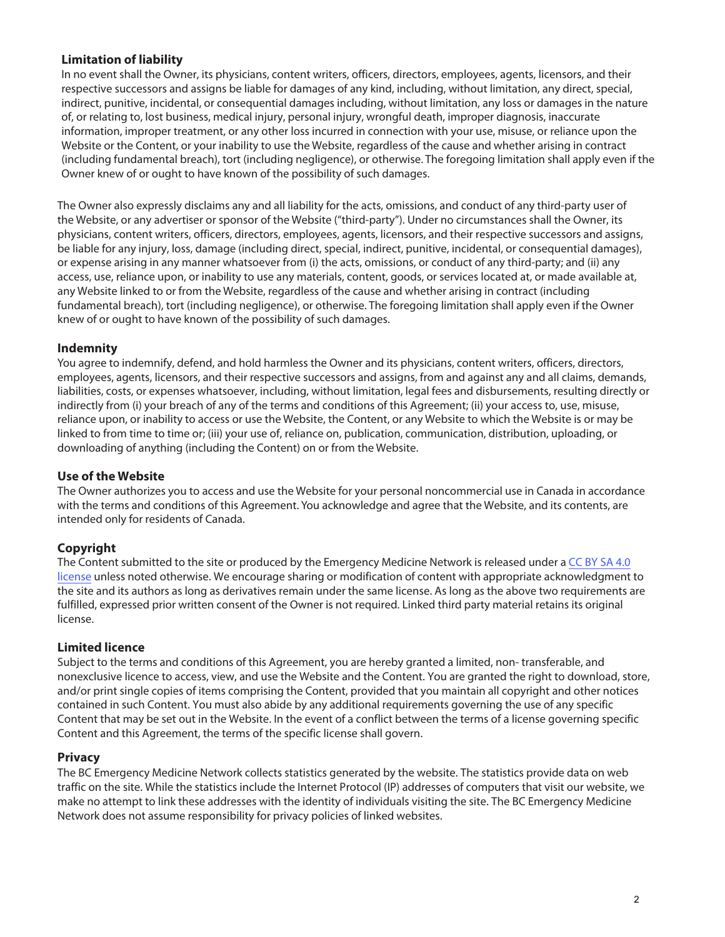## **Limitation of liability**

In no event shall the Owner, its physicians, content writers, officers, directors, employees, agents, licensors, and their respective successors and assigns be liable for damages of any kind, including, without limitation, any direct, special, indirect, punitive, incidental, or consequential damages including, without limitation, any loss or damages in the nature of, or relating to, lost business, medical injury, personal injury, wrongful death, improper diagnosis, inaccurate information, improper treatment, or any other loss incurred in connection with your use, misuse, or reliance upon the Website or the Content, or your inability to use the Website, regardless of the cause and whether arising in contract (including fundamental breach), tort (including negligence), or otherwise. The foregoing limitation shall apply even if the Owner knew of or ought to have known of the possibility of such damages.

The Owner also expressly disclaims any and all liability for the acts, omissions, and conduct of any third-party user of the Website, or any advertiser or sponsor of the Website ("third-party"). Under no circumstances shall the Owner, its physicians, content writers, officers, directors, employees, agents, licensors, and their respective successors and assigns, be liable for any injury, loss, damage (including direct, special, indirect, punitive, incidental, or consequential damages), or expense arising in any manner whatsoever from (i) the acts, omissions, or conduct of any third-party; and (ii) any access, use, reliance upon, or inability to use any materials, content, goods, or services located at, or made available at, any Website linked to or from the Website, regardless of the cause and whether arising in contract (including fundamental breach), tort (including negligence), or otherwise. The foregoing limitation shall apply even if the Owner knew of or ought to have known of the possibility of such damages.

#### **Indemnity**

You agree to indemnify, defend, and hold harmless the Owner and its physicians, content writers, officers, directors, employees, agents, licensors, and their respective successors and assigns, from and against any and all claims, demands, liabilities, costs, or expenses whatsoever, including, without limitation, legal fees and disbursements, resulting directly or indirectly from (i) your breach of any of the terms and conditions of this Agreement; (ii) your access to, use, misuse, reliance upon, or inability to access or use the Website, the Content, or any Website to which the Website is or may be linked to from time to time or; (iii) your use of, reliance on, publication, communication, distribution, uploading, or downloading of anything (including the Content) on or from the Website.

### **Use of the Website**

The Owner authorizes you to access and use the Website for your personal noncommercial use in Canada in accordance with the terms and conditions of this Agreement. You acknowledge and agree that the Website, and its contents, are intended only for residents of Canada.

### **Copyright**

The Content submitted to the site or produced by the Emergency Medicine Network is released under a CC BY SA 4.0 [license u](https://creativecommons.org/licenses/by-sa/4.0/)nless noted otherwise. We encourage sharing or modification of content with appropriate acknowledgment to the site and its authors as long as derivatives remain under the same license. As long as the above two requirements are fulfilled, expressed prior written consent of the Owner is not required. Linked third party material retains its original license.

#### **Limited licence**

Subject to the terms and conditions of this Agreement, you are hereby granted a limited, non- transferable, and nonexclusive licence to access, view, and use the Website and the Content. You are granted the right to download, store, and/or print single copies of items comprising the Content, provided that you maintain all copyright and other notices contained in such Content. You must also abide by any additional requirements governing the use of any specific Content that may be set out in the Website. In the event of a conflict between the terms of a license governing specific Content and this Agreement, the terms of the specific license shall govern.

#### **Privacy**

The BC Emergency Medicine Network collects statistics generated by the website. The statistics provide data on web traffic on the site. While the statistics include the Internet Protocol (IP) addresses of computers that visit our website, we make no attempt to link these addresses with the identity of individuals visiting the site. The BC Emergency Medicine Network does not assume responsibility for privacy policies of linked websites.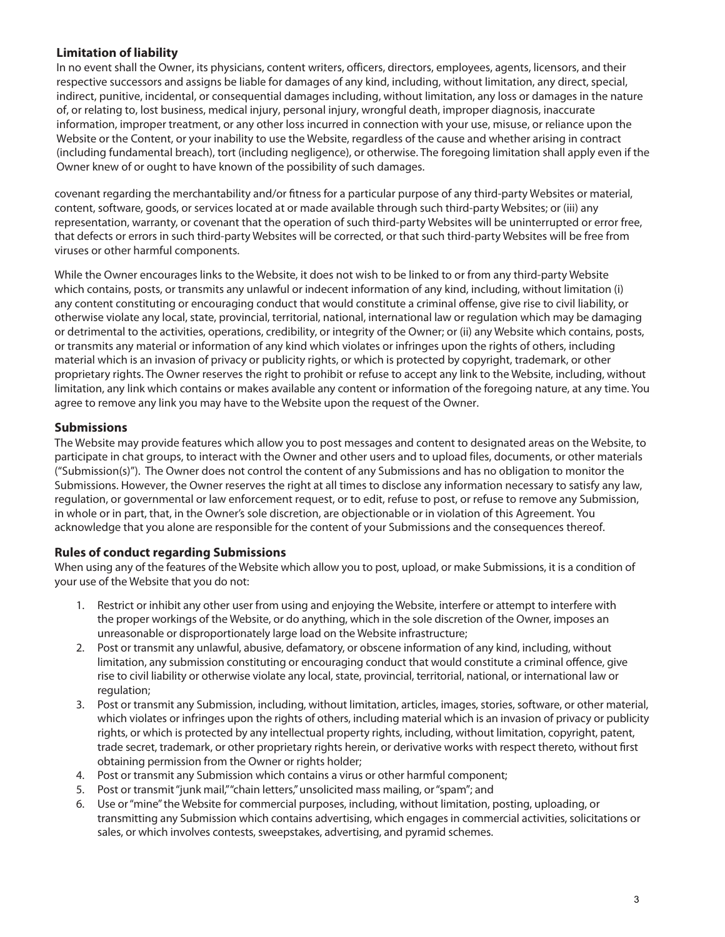# **Limitation of liability**

In no event shall the Owner, its physicians, content writers, officers, directors, employees, agents, licensors, and their respective successors and assigns be liable for damages of any kind, including, without limitation, any direct, special, indirect, punitive, incidental, or consequential damages including, without limitation, any loss or damages in the nature of, or relating to, lost business, medical injury, personal injury, wrongful death, improper diagnosis, inaccurate information, improper treatment, or any other loss incurred in connection with your use, misuse, or reliance upon the Website or the Content, or your inability to use the Website, regardless of the cause and whether arising in contract (including fundamental breach), tort (including negligence), or otherwise. The foregoing limitation shall apply even if the Owner knew of or ought to have known of the possibility of such damages.

covenant regarding the merchantability and/or fitness for a particular purpose of any third-party Websites or material, content, software, goods, or services located at or made available through such third-party Websites; or (iii) any representation, warranty, or covenant that the operation of such third-party Websites will be uninterrupted or error free, that defects or errors in such third-party Websites will be corrected, or that such third-party Websites will be free from viruses or other harmful components.

While the Owner encourages links to the Website, it does not wish to be linked to or from any third-party Website which contains, posts, or transmits any unlawful or indecent information of any kind, including, without limitation (i) any content constituting or encouraging conduct that would constitute a criminal offense, give rise to civil liability, or otherwise violate any local, state, provincial, territorial, national, international law or regulation which may be damaging or detrimental to the activities, operations, credibility, or integrity of the Owner; or (ii) any Website which contains, posts, or transmits any material or information of any kind which violates or infringes upon the rights of others, including material which is an invasion of privacy or publicity rights, or which is protected by copyright, trademark, or other proprietary rights. The Owner reserves the right to prohibit or refuse to accept any link to the Website, including, without limitation, any link which contains or makes available any content or information of the foregoing nature, at any time. You agree to remove any link you may have to the Website upon the request of the Owner.

### **Submissions**

The Website may provide features which allow you to post messages and content to designated areas on the Website, to participate in chat groups, to interact with the Owner and other users and to upload files, documents, or other materials ("Submission(s)"). The Owner does not control the content of any Submissions and has no obligation to monitor the Submissions. However, the Owner reserves the right at all times to disclose any information necessary to satisfy any law, regulation, or governmental or law enforcement request, or to edit, refuse to post, or refuse to remove any Submission, in whole or in part, that, in the Owner's sole discretion, are objectionable or in violation of this Agreement. You acknowledge that you alone are responsible for the content of your Submissions and the consequences thereof.

### **Rules of conduct regarding Submissions**

When using any of the features of the Website which allow you to post, upload, or make Submissions, it is a condition of your use of the Website that you do not:

- 1. Restrict or inhibit any other user from using and enjoying the Website, interfere or attempt to interfere with the proper workings of the Website, or do anything, which in the sole discretion of the Owner, imposes an unreasonable or disproportionately large load on the Website infrastructure;
- 2. Post or transmit any unlawful, abusive, defamatory, or obscene information of any kind, including, without limitation, any submission constituting or encouraging conduct that would constitute a criminal offence, give rise to civil liability or otherwise violate any local, state, provincial, territorial, national, or international law or regulation;
- 3. Post or transmit any Submission, including, without limitation, articles, images, stories, software, or other material, which violates or infringes upon the rights of others, including material which is an invasion of privacy or publicity rights, or which is protected by any intellectual property rights, including, without limitation, copyright, patent, trade secret, trademark, or other proprietary rights herein, or derivative works with respect thereto, without first obtaining permission from the Owner or rights holder;
- 4. Post or transmit any Submission which contains a virus or other harmful component;
- 5. Post or transmit "junk mail," "chain letters," unsolicited mass mailing, or "spam"; and
- 6. Use or "mine" the Website for commercial purposes, including, without limitation, posting, uploading, or transmitting any Submission which contains advertising, which engages in commercial activities, solicitations or sales, or which involves contests, sweepstakes, advertising, and pyramid schemes.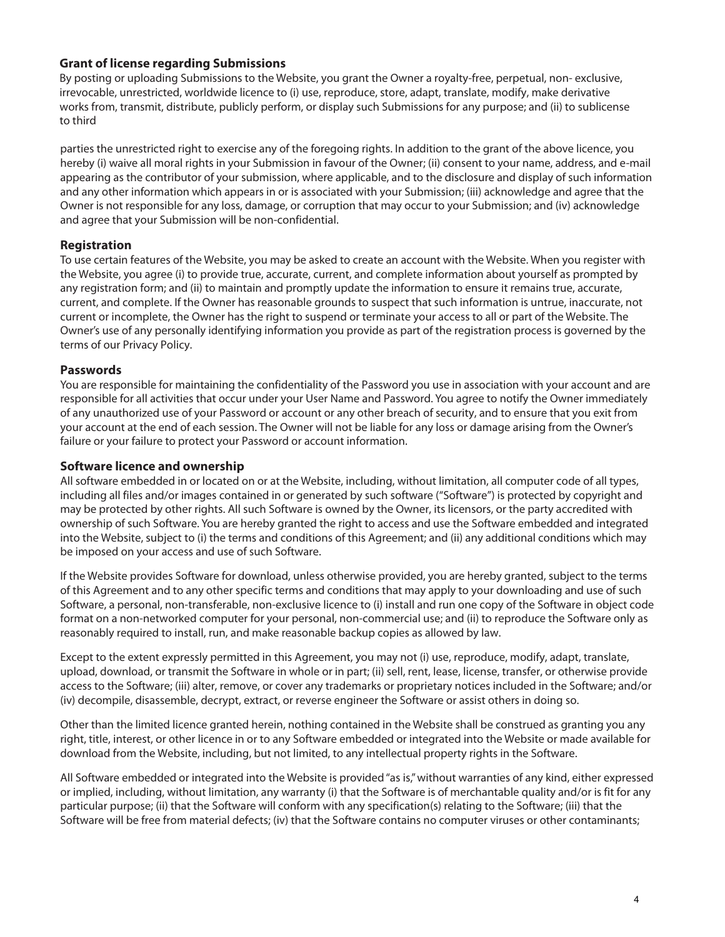## **Grant of license regarding Submissions**

By posting or uploading Submissions to the Website, you grant the Owner a royalty-free, perpetual, non- exclusive, irrevocable, unrestricted, worldwide licence to (i) use, reproduce, store, adapt, translate, modify, make derivative works from, transmit, distribute, publicly perform, or display such Submissions for any purpose; and (ii) to sublicense to third

parties the unrestricted right to exercise any of the foregoing rights. In addition to the grant of the above licence, you hereby (i) waive all moral rights in your Submission in favour of the Owner; (ii) consent to your name, address, and e-mail appearing as the contributor of your submission, where applicable, and to the disclosure and display of such information and any other information which appears in or is associated with your Submission; (iii) acknowledge and agree that the Owner is not responsible for any loss, damage, or corruption that may occur to your Submission; and (iv) acknowledge and agree that your Submission will be non-confidential.

# **Registration**

To use certain features of the Website, you may be asked to create an account with the Website. When you register with the Website, you agree (i) to provide true, accurate, current, and complete information about yourself as prompted by any registration form; and (ii) to maintain and promptly update the information to ensure it remains true, accurate, current, and complete. If the Owner has reasonable grounds to suspect that such information is untrue, inaccurate, not current or incomplete, the Owner has the right to suspend or terminate your access to all or part of the Website. The Owner's use of any personally identifying information you provide as part of the registration process is governed by the terms of our Privacy Policy.

## **Passwords**

You are responsible for maintaining the confidentiality of the Password you use in association with your account and are responsible for all activities that occur under your User Name and Password. You agree to notify the Owner immediately of any unauthorized use of your Password or account or any other breach of security, and to ensure that you exit from your account at the end of each session. The Owner will not be liable for any loss or damage arising from the Owner's failure or your failure to protect your Password or account information.

## **Software licence and ownership**

All software embedded in or located on or at the Website, including, without limitation, all computer code of all types, including all files and/or images contained in or generated by such software ("Software") is protected by copyright and may be protected by other rights. All such Software is owned by the Owner, its licensors, or the party accredited with ownership of such Software. You are hereby granted the right to access and use the Software embedded and integrated into the Website, subject to (i) the terms and conditions of this Agreement; and (ii) any additional conditions which may be imposed on your access and use of such Software.

If the Website provides Software for download, unless otherwise provided, you are hereby granted, subject to the terms of this Agreement and to any other specific terms and conditions that may apply to your downloading and use of such Software, a personal, non-transferable, non-exclusive licence to (i) install and run one copy of the Software in object code format on a non-networked computer for your personal, non-commercial use; and (ii) to reproduce the Software only as reasonably required to install, run, and make reasonable backup copies as allowed by law.

Except to the extent expressly permitted in this Agreement, you may not (i) use, reproduce, modify, adapt, translate, upload, download, or transmit the Software in whole or in part; (ii) sell, rent, lease, license, transfer, or otherwise provide access to the Software; (iii) alter, remove, or cover any trademarks or proprietary notices included in the Software; and/or (iv) decompile, disassemble, decrypt, extract, or reverse engineer the Software or assist others in doing so.

Other than the limited licence granted herein, nothing contained in the Website shall be construed as granting you any right, title, interest, or other licence in or to any Software embedded or integrated into the Website or made available for download from the Website, including, but not limited, to any intellectual property rights in the Software.

All Software embedded or integrated into the Website is provided "as is," without warranties of any kind, either expressed or implied, including, without limitation, any warranty (i) that the Software is of merchantable quality and/or is fit for any particular purpose; (ii) that the Software will conform with any specification(s) relating to the Software; (iii) that the Software will be free from material defects; (iv) that the Software contains no computer viruses or other contaminants;